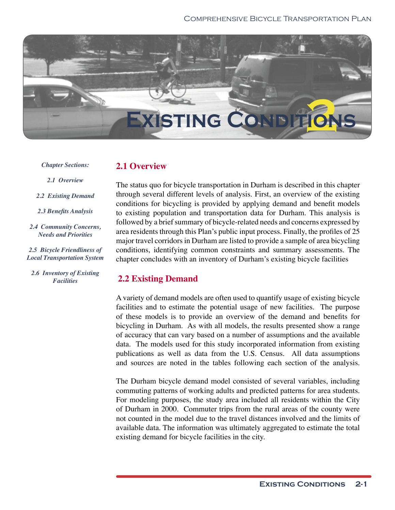

#### *Chapter Sections:*

#### **2.1 Overview**

*2.1 Overview*

*2.2 Existing Demand*

2.3 Benefits Analysis

*2.4 Community Concerns, Needs and Priorities*

*2.5 Bicycle Friendliness of Local Transportation System*

*2.6 Inventory of Existing Facilities*

The status quo for bicycle transportation in Durham is described in this chapter through several different levels of analysis. First, an overview of the existing conditions for bicycling is provided by applying demand and benefit models to existing population and transportation data for Durham. This analysis is followed by a brief summary of bicycle-related needs and concerns expressed by area residents through this Plan's public input process. Finally, the profiles of 25 major travel corridors in Durham are listed to provide a sample of area bicycling conditions, identifying common constraints and summary assessments. The chapter concludes with an inventory of Durham's existing bicycle facilities

## **2.2 Existing Demand**

A variety of demand models are often used to quantify usage of existing bicycle facilities and to estimate the potential usage of new facilities. The purpose of these models is to provide an overview of the demand and benefits for bicycling in Durham. As with all models, the results presented show a range of accuracy that can vary based on a number of assumptions and the available data. The models used for this study incorporated information from existing publications as well as data from the U.S. Census. All data assumptions and sources are noted in the tables following each section of the analysis.

The Durham bicycle demand model consisted of several variables, including commuting patterns of working adults and predicted patterns for area students. For modeling purposes, the study area included all residents within the City of Durham in 2000. Commuter trips from the rural areas of the county were not counted in the model due to the travel distances involved and the limits of available data. The information was ultimately aggregated to estimate the total existing demand for bicycle facilities in the city.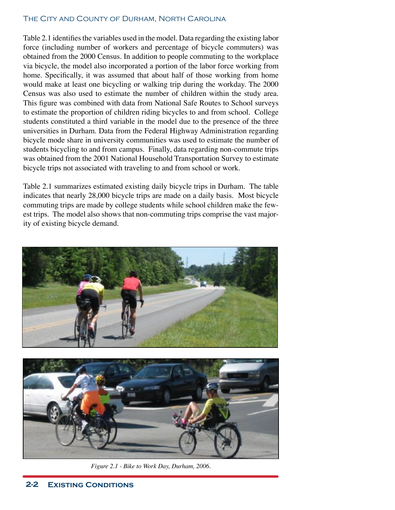Table 2.1 identifies the variables used in the model. Data regarding the existing labor force (including number of workers and percentage of bicycle commuters) was obtained from the 2000 Census. In addition to people commuting to the workplace via bicycle, the model also incorporated a portion of the labor force working from home. Specifically, it was assumed that about half of those working from home would make at least one bicycling or walking trip during the workday. The 2000 Census was also used to estimate the number of children within the study area. This figure was combined with data from National Safe Routes to School surveys to estimate the proportion of children riding bicycles to and from school. College students constituted a third variable in the model due to the presence of the three universities in Durham. Data from the Federal Highway Administration regarding bicycle mode share in university communities was used to estimate the number of students bicycling to and from campus. Finally, data regarding non-commute trips was obtained from the 2001 National Household Transportation Survey to estimate bicycle trips not associated with traveling to and from school or work.

Table 2.1 summarizes estimated existing daily bicycle trips in Durham. The table indicates that nearly 28,000 bicycle trips are made on a daily basis. Most bicycle commuting trips are made by college students while school children make the fewest trips. The model also shows that non-commuting trips comprise the vast majority of existing bicycle demand.





*Figure 2.1 - Bike to Work Day, Durham, 2006.*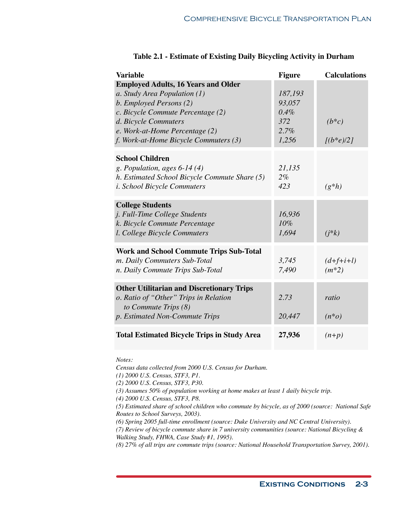| <b>Variable</b>                                                                                                                                                                                                                               | <b>Figure</b>                                        | <b>Calculations</b>          |
|-----------------------------------------------------------------------------------------------------------------------------------------------------------------------------------------------------------------------------------------------|------------------------------------------------------|------------------------------|
| <b>Employed Adults, 16 Years and Older</b><br>a. Study Area Population (1)<br>b. Employed Persons (2)<br>c. Bicycle Commute Percentage (2)<br>d. Bicycle Commuters<br>e. Work-at-Home Percentage (2)<br>f. Work-at-Home Bicycle Commuters (3) | 187,193<br>93,057<br>$0.4\%$<br>372<br>2.7%<br>1,256 | $(b*c)$<br>$[(b*e)/2]$       |
| <b>School Children</b><br>g. Population, ages $6-14(4)$<br>h. Estimated School Bicycle Commute Share (5)<br><i>i. School Bicycle Commuters</i>                                                                                                | 21,135<br>$2\%$<br>423                               | $(g^*h)$                     |
| <b>College Students</b><br>j. Full-Time College Students<br>k. Bicycle Commute Percentage<br>l. College Bicycle Commuters                                                                                                                     | 16,936<br>10%<br>1,694                               | $(j*k)$                      |
| <b>Work and School Commute Trips Sub-Total</b><br>m. Daily Commuters Sub-Total<br>n. Daily Commute Trips Sub-Total                                                                                                                            | 3,745<br>7,490                                       | $(d + f + i + l)$<br>$(m*2)$ |
| <b>Other Utilitarian and Discretionary Trips</b><br>o. Ratio of "Other" Trips in Relation<br>to Commute Trips (8)<br>p. Estimated Non-Commute Trips                                                                                           | 2.73<br>20,447                                       | ratio<br>$(n^*o)$            |
| <b>Total Estimated Bicycle Trips in Study Area</b>                                                                                                                                                                                            | 27,936                                               | $(n+p)$                      |

#### **Table 2.1 - Estimate of Existing Daily Bicycling Activity in Durham**

*Notes:*

*Census data collected from 2000 U.S. Census for Durham.*

*(1) 2000 U.S. Census, STF3, P1.*

*(2) 2000 U.S. Census, STF3, P30.*

*(3) Assumes 50% of population working at home makes at least 1 daily bicycle trip.*

*(4) 2000 U.S. Census, STF3, P8.*

*(5) Estimated share of school children who commute by bicycle, as of 2000 (source: National Safe Routes to School Surveys, 2003).* 

*(6) Spring 2005 full-time enrollment (source: Duke University and NC Central University).*

*(7) Review of bicycle commute share in 7 university communities (source: National Bicycling & Walking Study, FHWA, Case Study #1, 1995).*

*(8) 27% of all trips are commute trips (source: National Household Transportation Survey, 2001).*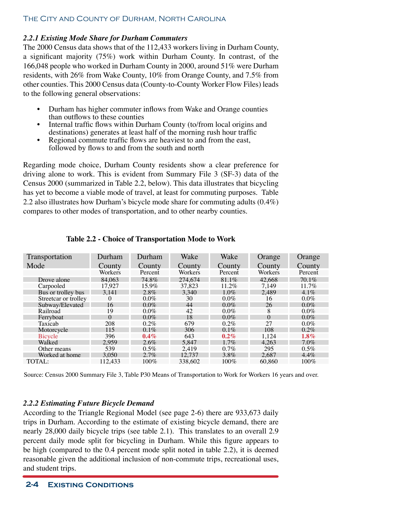## *2.2.1 Existing Mode Share for Durham Commuters*

The 2000 Census data shows that of the 112,433 workers living in Durham County, a significant majority (75%) work within Durham County. In contrast, of the 166,048 people who worked in Durham County in 2000, around 51% were Durham residents, with 26% from Wake County, 10% from Orange County, and 7.5% from other counties. This 2000 Census data (County-to-County Worker Flow Files) leads to the following general observations:

- Durham has higher commuter inflows from Wake and Orange counties than outflows to these counties
- Internal traffic flows within Durham County (to/from local origins and destinations) generates at least half of the morning rush hour traffic
- Regional commute traffic flows are heaviest to and from the east, followed by flows to and from the south and north

Regarding mode choice, Durham County residents show a clear preference for driving alone to work. This is evident from Summary File 3 (SF-3) data of the Census 2000 (summarized in Table 2.2, below). This data illustrates that bicycling has yet to become a viable mode of travel, at least for commuting purposes. Table 2.2 also illustrates how Durham's bicycle mode share for commuting adults (0.4%) compares to other modes of transportation, and to other nearby counties.

| Transportation       | Durham   | Durham  | Wake    | Wake    | Orange   | Orange   |
|----------------------|----------|---------|---------|---------|----------|----------|
| Mode                 | County   | County  | County  | County  | County   | County   |
|                      | Workers  | Percent | Workers | Percent | Workers  | Percent  |
| Drove alone          | 84,063   | 74.8%   | 274,674 | 81.1%   | 42,668   | $70.1\%$ |
| Carpooled            | 17.927   | 15.9%   | 37.823  | 11.2%   | 7.149    | $11.7\%$ |
| Bus or trolley bus   | 3,141    | $2.8\%$ | 3.340   | $1.0\%$ | 2.489    | $4.1\%$  |
| Streetcar or trolley | $\theta$ | $0.0\%$ | 30      | $0.0\%$ | 16       | $0.0\%$  |
| Subway/Elevated      | 16       | $0.0\%$ | 44      | $0.0\%$ | 26       | $0.0\%$  |
| Railroad             | 19       | $0.0\%$ | 42      | $0.0\%$ | 8        | $0.0\%$  |
| Ferryboat            | 0        | $0.0\%$ | 18      | $0.0\%$ | $\Omega$ | $0.0\%$  |
| Taxicab              | 208      | $0.2\%$ | 679     | $0.2\%$ | 27       | $0.0\%$  |
| Motorcycle           | 115      | $0.1\%$ | 306     | $0.1\%$ | 108      | $0.2\%$  |
| Bicycle              | 396      | $0.4\%$ | 643     | $0.2\%$ | 1.124    | $1.8\%$  |
| Walked               | 2.959    | $2.6\%$ | 5.847   | $1.7\%$ | 4.263    | $7.0\%$  |
| Other means          | 539      | $0.5\%$ | 2.419   | $0.7\%$ | 295      | $0.5\%$  |
| Worked at home       | 3.050    | $2.7\%$ | 12.737  | 3.8%    | 2.687    | $4.4\%$  |
| TOTAL:               | 112.433  | $100\%$ | 338,602 | $100\%$ | 60.860   | $100\%$  |

**Table 2.2 - Choice of Transportation Mode to Work**

Source: Census 2000 Summary File 3, Table P30 Means of Transportation to Work for Workers 16 years and over.

## *2.2.2 Estimating Future Bicycle Demand*

According to the Triangle Regional Model (see page 2-6) there are 933,673 daily trips in Durham. According to the estimate of existing bicycle demand, there are nearly 28,000 daily bicycle trips (see table 2.1). This translates to an overall 2.9 percent daily mode split for bicycling in Durham. While this figure appears to be high (compared to the 0.4 percent mode split noted in table 2.2), it is deemed reasonable given the additional inclusion of non-commute trips, recreational uses, and student trips.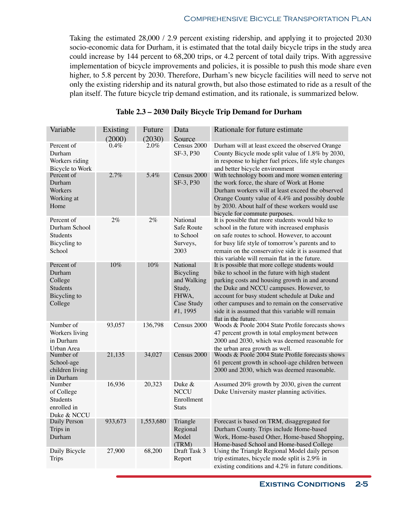Taking the estimated 28,000 / 2.9 percent existing ridership, and applying it to projected 2030 socio-economic data for Durham, it is estimated that the total daily bicycle trips in the study area could increase by 144 percent to 68,200 trips, or 4.2 percent of total daily trips. With aggressive implementation of bicycle improvements and policies, it is possible to push this mode share even higher, to 5.8 percent by 2030. Therefore, Durham's new bicycle facilities will need to serve not only the existing ridership and its natural growth, but also those estimated to ride as a result of the plan itself. The future bicycle trip demand estimation, and its rationale, is summarized below.

| Variable                                                               | Existing<br>(2000) | Future<br>(2030) | Data<br>Source                                                                    | Rationale for future estimate                                                                                                                                                                                                                                                                                                                                                   |
|------------------------------------------------------------------------|--------------------|------------------|-----------------------------------------------------------------------------------|---------------------------------------------------------------------------------------------------------------------------------------------------------------------------------------------------------------------------------------------------------------------------------------------------------------------------------------------------------------------------------|
| Percent of<br>Durham<br>Workers riding<br>Bicycle to Work              | 0.4%               | 2.0%             | Census 2000<br>SF-3, P30                                                          | Durham will at least exceed the observed Orange<br>County Bicycle mode split value of 1.8% by 2030,<br>in response to higher fuel prices, life style changes<br>and better bicycle environment                                                                                                                                                                                  |
| Percent of<br>Durham<br>Workers<br>Working at<br>Home                  | 2.7%               | 5.4%             | Census 2000<br>SF-3, P30                                                          | With technology boom and more women entering<br>the work force, the share of Work at Home<br>Durham workers will at least exceed the observed<br>Orange County value of 4.4% and possibly double<br>by 2030. About half of these workers would use<br>bicycle for commute purposes.                                                                                             |
| Percent of<br>Durham School<br>Students<br>Bicycling to<br>School      | 2%                 | $2\%$            | National<br>Safe Route<br>to School<br>Surveys,<br>2003                           | It is possible that more students would bike to<br>school in the future with increased emphasis<br>on safe routes to school. However, to account<br>for busy life style of tomorrow's parents and to<br>remain on the conservative side it is assumed that<br>this variable will remain flat in the future.                                                                     |
| Percent of<br>Durham<br>College<br>Students<br>Bicycling to<br>College | 10%                | 10%              | National<br>Bicycling<br>and Walking<br>Study,<br>FHWA,<br>Case Study<br>#1, 1995 | It is possible that more college students would<br>bike to school in the future with high student<br>parking costs and housing growth in and around<br>the Duke and NCCU campuses. However, to<br>account for busy student schedule at Duke and<br>other campuses and to remain on the conservative<br>side it is assumed that this variable will remain<br>flat in the future. |
| Number of<br>Workers living<br>in Durham<br>Urban Area                 | 93,057             | 136,798          | Census 2000                                                                       | Woods & Poole 2004 State Profile forecasts shows<br>47 percent growth in total employment between<br>2000 and 2030, which was deemed reasonable for<br>the urban area growth as well.                                                                                                                                                                                           |
| Number of<br>School-age<br>children living<br>in Durham                | 21,135             | 34,027           | Census 2000                                                                       | Woods & Poole 2004 State Profile forecasts shows<br>61 percent growth in school-age children between<br>2000 and 2030, which was deemed reasonable.                                                                                                                                                                                                                             |
| Number<br>of College<br><b>Students</b><br>enrolled in<br>Duke & NCCU  | 16,936             | 20,323           | Duke &<br><b>NCCU</b><br>Enrollment<br><b>Stats</b>                               | Assumed 20% growth by 2030, given the current<br>Duke University master planning activities.                                                                                                                                                                                                                                                                                    |
| Daily Person<br>Trips in<br>Durham                                     | 933,673            | 1,553,680        | Triangle<br>Regional<br>Model<br>(TRM)                                            | Forecast is based on TRM, disaggregated for<br>Durham County. Trips include Home-based<br>Work, Home-based Other, Home-based Shopping,<br>Home-based School and Home-based College                                                                                                                                                                                              |
| Daily Bicycle<br><b>Trips</b>                                          | 27,900             | 68,200           | Draft Task 3<br>Report                                                            | Using the Triangle Regional Model daily person<br>trip estimates, bicycle mode split is 2.9% in<br>existing conditions and $4.2\%$ in future conditions.                                                                                                                                                                                                                        |

| Table 2.3 – 2030 Daily Bicycle Trip Demand for Durham |  |  |  |  |  |
|-------------------------------------------------------|--|--|--|--|--|
|-------------------------------------------------------|--|--|--|--|--|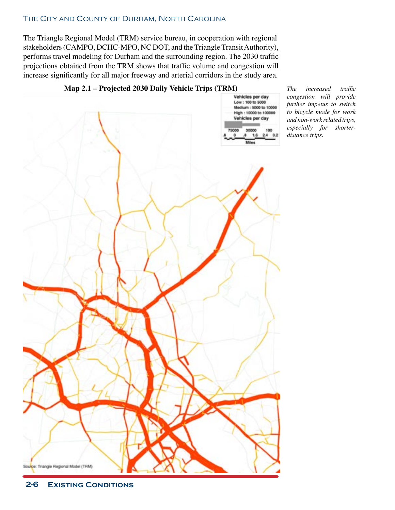The Triangle Regional Model (TRM) service bureau, in cooperation with regional stakeholders (CAMPO, DCHC-MPO, NC DOT, and the Triangle Transit Authority), performs travel modeling for Durham and the surrounding region. The 2030 traffic projections obtained from the TRM shows that traffic volume and congestion will increase significantly for all major freeway and arterial corridors in the study area.



#### **Map 2.1 – Projected 2030 Daily Vehicle Trips (TRM)** *The increased traffic*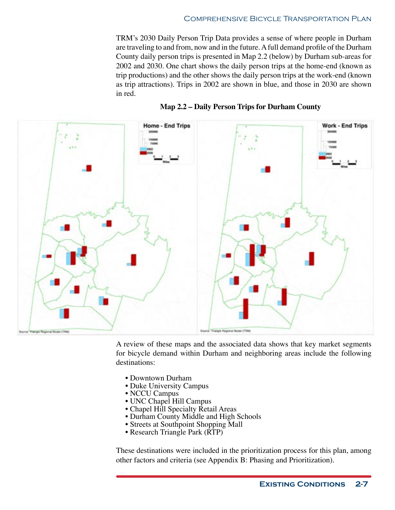TRM's 2030 Daily Person Trip Data provides a sense of where people in Durham are traveling to and from, now and in the future. A full demand profile of the Durham County daily person trips is presented in Map 2.2 (below) by Durham sub-areas for 2002 and 2030. One chart shows the daily person trips at the home-end (known as trip productions) and the other shows the daily person trips at the work-end (known as trip attractions). Trips in 2002 are shown in blue, and those in 2030 are shown in red.





A review of these maps and the associated data shows that key market segments for bicycle demand within Durham and neighboring areas include the following destinations:

- Downtown Durham
- Duke University Campus
- NCCU Campus
- UNC Chapel Hill Campus
- Chapel Hill Specialty Retail Areas
- Durham County Middle and High Schools
- Streets at Southpoint Shopping Mall
- Research Triangle Park (RTP)

These destinations were included in the prioritization process for this plan, among other factors and criteria (see Appendix B: Phasing and Prioritization).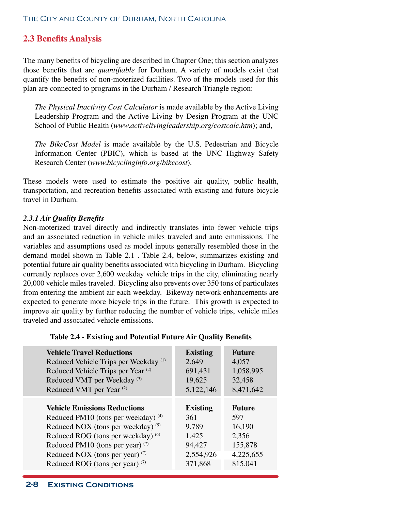# **2.3 Benefits Analysis**

The many benefits of bicycling are described in Chapter One; this section analyzes those benefits that are *quantifiable* for Durham. A variety of models exist that quantify the benefits of non-moterized facilities. Two of the models used for this plan are connected to programs in the Durham / Research Triangle region:

*The Physical Inactivity Cost Calculator* is made available by the Active Living Leadership Program and the Active Living by Design Program at the UNC School of Public Health (*www.activelivingleadership.org/costcalc.htm*); and,

*The BikeCost Model* is made available by the U.S. Pedestrian and Bicycle Information Center (PBIC), which is based at the UNC Highway Safety Research Center (*www.bicyclinginfo.org/bikecost*).

These models were used to estimate the positive air quality, public health, transportation, and recreation benefits associated with existing and future bicycle travel in Durham.

#### *2.3.1 Air Quality Benefits*

Non-moterized travel directly and indirectly translates into fewer vehicle trips and an associated reduction in vehicle miles traveled and auto emmissions. The variables and assumptions used as model inputs generally resembled those in the demand model shown in Table 2.1 . Table 2.4, below, summarizes existing and potential future air quality benefits associated with bicycling in Durham. Bicycling currently replaces over 2,600 weekday vehicle trips in the city, eliminating nearly 20,000 vehicle miles traveled. Bicycling also prevents over 350 tons of particulates from entering the ambient air each weekday. Bikeway network enhancements are expected to generate more bicycle trips in the future. This growth is expected to improve air quality by further reducing the number of vehicle trips, vehicle miles traveled and associated vehicle emissions.

|  | Table 2.4 - Existing and Potential Future Air Quality Benefits |  |  |  |  |
|--|----------------------------------------------------------------|--|--|--|--|
|--|----------------------------------------------------------------|--|--|--|--|

| <b>Vehicle Travel Reductions</b>                 | <b>Existing</b> | <b>Future</b> |
|--------------------------------------------------|-----------------|---------------|
| Reduced Vehicle Trips per Weekday <sup>(1)</sup> | 2,649           | 4,057         |
| Reduced Vehicle Trips per Year <sup>(2)</sup>    | 691,431         | 1,058,995     |
| Reduced VMT per Weekday <sup>(3)</sup>           | 19,625          | 32,458        |
| Reduced VMT per Year <sup>(2)</sup>              | 5,122,146       | 8,471,642     |
| <b>Vehicle Emissions Reductions</b>              | <b>Existing</b> | <b>Future</b> |
| Reduced PM10 (tons per weekday) $(4)$            | 361             | 597           |
| Reduced NOX (tons per weekday) $(5)$             | 9,789           | 16,190        |
| Reduced ROG (tons per weekday) (6)               | 1,425           | 2,356         |
| Reduced PM10 (tons per year) $(7)$               | 94,427          | 155,878       |
| Reduced NOX (tons per year) $(7)$                | 2,554,926       | 4,225,655     |
| Reduced ROG (tons per year) <sup>(7)</sup>       | 371,868         | 815,041       |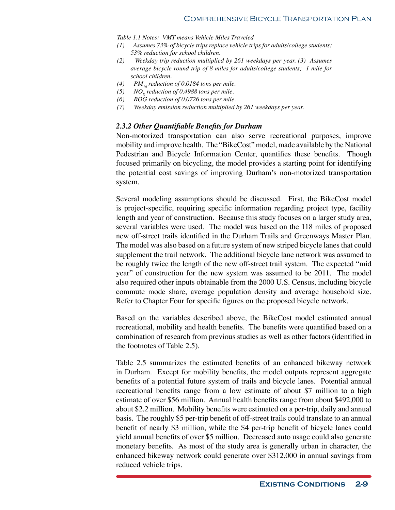*Table 1.1 Notes: VMT means Vehicle Miles Traveled*

- *(1) Assumes 73% of bicycle trips replace vehicle trips for adults/college students; 53% reduction for school children.*
- *(2) Weekday trip reduction multiplied by 261 weekdays per year. (3) Assumes average bicycle round trip of 8 miles for adults/college students; 1 mile for school children.*
- (4)  $PM_{10}$  reduction of 0.0184 tons per mile.<br>(5)  $NO_v$  reduction of 0.4988 tons per mile.
- (5)  $NO<sub>x</sub>$  reduction of 0.4988 tons per mile.<br>(6)  $ROG$  reduction of 0.0726 tons per mile.
- *(6) ROG reduction of 0.0726 tons per mile.*
- *(7) Weekday emission reduction multiplied by 261 weekdays per year.*

#### *2.3.2 Other Quantifiable Benefits for Durham*

Non-motorized transportation can also serve recreational purposes, improve mobility and improve health. The "BikeCost" model, made available by the National Pedestrian and Bicycle Information Center, quantifies these benefits. Though focused primarily on bicycling, the model provides a starting point for identifying the potential cost savings of improving Durham's non-motorized transportation system.

Several modeling assumptions should be discussed. First, the BikeCost model is project-specific, requiring specific information regarding project type, facility length and year of construction. Because this study focuses on a larger study area, several variables were used. The model was based on the 118 miles of proposed new off-street trails identified in the Durham Trails and Greenways Master Plan. The model was also based on a future system of new striped bicycle lanes that could supplement the trail network. The additional bicycle lane network was assumed to be roughly twice the length of the new off-street trail system. The expected "mid year" of construction for the new system was assumed to be 2011. The model also required other inputs obtainable from the 2000 U.S. Census, including bicycle commute mode share, average population density and average household size. Refer to Chapter Four for specific figures on the proposed bicycle network.

Based on the variables described above, the BikeCost model estimated annual recreational, mobility and health benefits. The benefits were quantified based on a combination of research from previous studies as well as other factors (identified in the footnotes of Table 2.5).

Table 2.5 summarizes the estimated benefits of an enhanced bikeway network in Durham. Except for mobility benefits, the model outputs represent aggregate benefits of a potential future system of trails and bicycle lanes. Potential annual recreational benefits range from a low estimate of about \$7 million to a high estimate of over \$56 million. Annual health benefits range from about \$492,000 to about \$2.2 million. Mobility benefits were estimated on a per-trip, daily and annual basis. The roughly \$5 per-trip benefit of off-street trails could translate to an annual benefit of nearly \$3 million, while the \$4 per-trip benefit of bicycle lanes could yield annual benefits of over \$5 million. Decreased auto usage could also generate monetary benefits. As most of the study area is generally urban in character, the enhanced bikeway network could generate over \$312,000 in annual savings from reduced vehicle trips.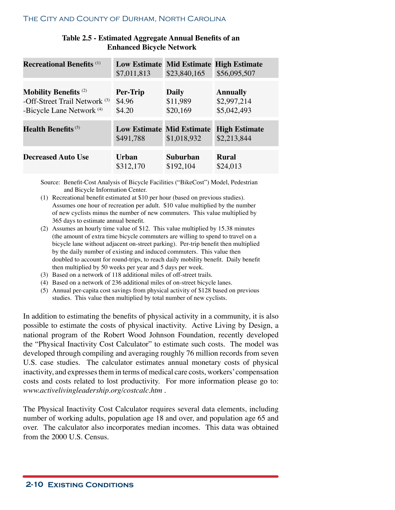| Table 2.5 - Estimated Aggregate Annual Benefits of an |
|-------------------------------------------------------|
| <b>Enhanced Bicycle Network</b>                       |

| <b>Recreational Benefits</b> (1)         | \$7,011,813                                   | \$23,840,165 | Low Estimate Mid Estimate High Estimate<br>\$56,095,507 |
|------------------------------------------|-----------------------------------------------|--------------|---------------------------------------------------------|
| <b>Mobility Benefits</b> <sup>(2)</sup>  | Per-Trip                                      | <b>Daily</b> | <b>Annually</b>                                         |
| -Off-Street Trail Network <sup>(3)</sup> | \$4.96                                        | \$11,989     | \$2,997,214                                             |
| -Bicycle Lane Network <sup>(4)</sup>     | \$4.20                                        | \$20,169     | \$5,042,493                                             |
| <b>Health Benefits</b> $(5)$             | <b>Low Estimate Mid Estimate</b><br>\$491,788 | \$1,018,932  | <b>High Estimate</b><br>\$2,213,844                     |
| <b>Decreased Auto Use</b>                | Urban                                         | Suburban     | <b>Rural</b>                                            |
|                                          | \$312,170                                     | \$192,104    | \$24,013                                                |

Source: Benefit-Cost Analysis of Bicycle Facilities ("BikeCost") Model, Pedestrian and Bicycle Information Center.

- (1) Recreational benefit estimated at \$10 per hour (based on previous studies). Assumes one hour of recreation per adult. \$10 value multiplied by the number of new cyclists minus the number of new commuters. This value multiplied by 365 days to estimate annual benefit.
- (2) Assumes an hourly time value of \$12. This value multiplied by 15.38 minutes (the amount of extra time bicycle commuters are willing to spend to travel on a bicycle lane without adjacent on-street parking). Per-trip benefit then multiplied by the daily number of existing and induced commuters. This value then doubled to account for round-trips, to reach daily mobility benefit. Daily benefit then multiplied by 50 weeks per year and 5 days per week.
- (3) Based on a network of 118 additional miles of off-street trails.
- (4) Based on a network of 236 additional miles of on-street bicycle lanes.
- (5) Annual per-capita cost savings from physical activity of \$128 based on previous studies. This value then multiplied by total number of new cyclists.

In addition to estimating the benefits of physical activity in a community, it is also possible to estimate the costs of physical inactivity. Active Living by Design, a national program of the Robert Wood Johnson Foundation, recently developed the "Physical Inactivity Cost Calculator" to estimate such costs. The model was developed through compiling and averaging roughly 76 million records from seven U.S. case studies. The calculator estimates annual monetary costs of physical inactivity, and expresses them in terms of medical care costs, workers' compensation costs and costs related to lost productivity. For more information please go to: *www.activelivingleadership.org/costcalc.htm* .

The Physical Inactivity Cost Calculator requires several data elements, including number of working adults, population age 18 and over, and population age 65 and over. The calculator also incorporates median incomes. This data was obtained from the 2000 U.S. Census.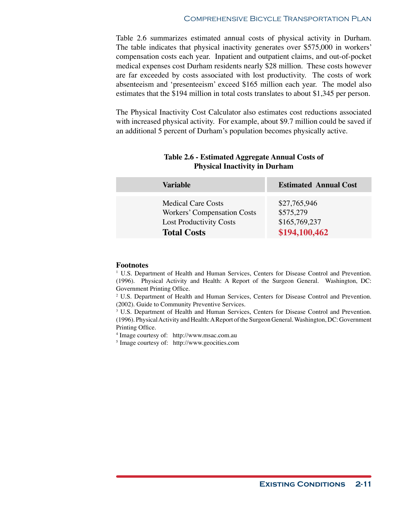Table 2.6 summarizes estimated annual costs of physical activity in Durham. The table indicates that physical inactivity generates over \$575,000 in workers' compensation costs each year. Inpatient and outpatient claims, and out-of-pocket medical expenses cost Durham residents nearly \$28 million. These costs however are far exceeded by costs associated with lost productivity. The costs of work absenteeism and 'presenteeism' exceed \$165 million each year. The model also estimates that the \$194 million in total costs translates to about \$1,345 per person.

The Physical Inactivity Cost Calculator also estimates cost reductions associated with increased physical activity. For example, about \$9.7 million could be saved if an additional 5 percent of Durham's population becomes physically active.

| Variable                       | <b>Estimated Annual Cost</b> |
|--------------------------------|------------------------------|
| <b>Medical Care Costs</b>      | \$27,765,946                 |
| Workers' Compensation Costs    | \$575,279                    |
| <b>Lost Productivity Costs</b> | \$165,769,237                |
| <b>Total Costs</b>             | \$194,100,462                |

## **Table 2.6 - Estimated Aggregate Annual Costs of Physical Inactivity in Durham**

#### **Footnotes**

1 U.S. Department of Health and Human Services, Centers for Disease Control and Prevention. (1996). Physical Activity and Health: A Report of the Surgeon General. Washington, DC: Government Printing Office.

2 U.S. Department of Health and Human Services, Centers for Disease Control and Prevention. (2002). Guide to Community Preventive Services.

3 U.S. Department of Health and Human Services, Centers for Disease Control and Prevention. (1996). Physical Activity and Health: A Report of the Surgeon General. Washington, DC: Government Printing Office.

4 Image courtesy of: http://www.msac.com.au

5 Image courtesy of: http://www.geocities.com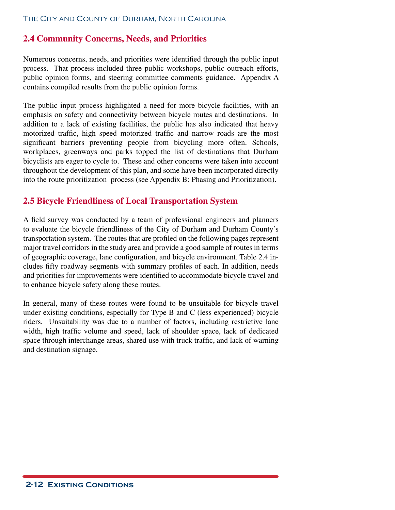#### **2.4 Community Concerns, Needs, and Priorities**

Numerous concerns, needs, and priorities were identified through the public input process. That process included three public workshops, public outreach efforts, public opinion forms, and steering committee comments guidance. Appendix A contains compiled results from the public opinion forms.

The public input process highlighted a need for more bicycle facilities, with an emphasis on safety and connectivity between bicycle routes and destinations. In addition to a lack of existing facilities, the public has also indicated that heavy motorized traffic, high speed motorized traffic and narrow roads are the most significant barriers preventing people from bicycling more often. Schools, workplaces, greenways and parks topped the list of destinations that Durham bicyclists are eager to cycle to. These and other concerns were taken into account throughout the development of this plan, and some have been incorporated directly into the route prioritization process (see Appendix B: Phasing and Prioritization).

#### **2.5 Bicycle Friendliness of Local Transportation System**

A field survey was conducted by a team of professional engineers and planners to evaluate the bicycle friendliness of the City of Durham and Durham County's transportation system. The routes that are profiled on the following pages represent major travel corridors in the study area and provide a good sample of routes in terms of geographic coverage, lane configuration, and bicycle environment. Table 2.4 includes fifty roadway segments with summary profiles of each. In addition, needs and priorities for improvements were identified to accommodate bicycle travel and to enhance bicycle safety along these routes.

In general, many of these routes were found to be unsuitable for bicycle travel under existing conditions, especially for Type B and C (less experienced) bicycle riders. Unsuitability was due to a number of factors, including restrictive lane width, high traffic volume and speed, lack of shoulder space, lack of dedicated space through interchange areas, shared use with truck traffic, and lack of warning and destination signage.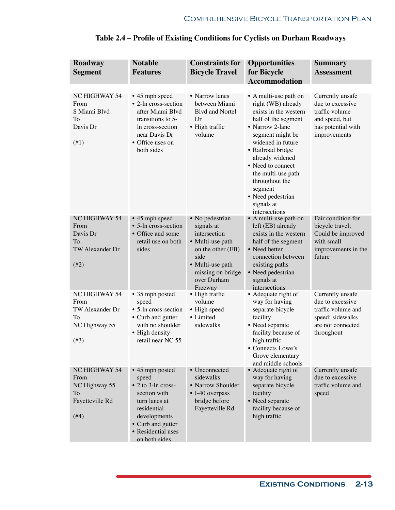| Roadway<br><b>Segment</b>                                                      | <b>Notable</b><br><b>Features</b>                                                                                                                                                  | <b>Constraints for</b><br><b>Bicycle Travel</b>                                                                                                                   | <b>Opportunities</b><br>for Bicycle<br><b>Accommodation</b>                                                                                                                                                                                                                                                                 | <b>Summary</b><br><b>Assessment</b>                                                                               |
|--------------------------------------------------------------------------------|------------------------------------------------------------------------------------------------------------------------------------------------------------------------------------|-------------------------------------------------------------------------------------------------------------------------------------------------------------------|-----------------------------------------------------------------------------------------------------------------------------------------------------------------------------------------------------------------------------------------------------------------------------------------------------------------------------|-------------------------------------------------------------------------------------------------------------------|
| NC HIGHWAY 54<br>From<br>S Miami Blvd<br>To<br>Davis Dr<br>(41)                | • 45 mph speed<br>• 2-ln cross-section<br>after Miami Blvd<br>transitions to 5-<br>In cross-section<br>near Davis Dr<br>• Office uses on<br>both sides                             | • Narrow lanes<br>between Miami<br><b>Blvd and Nortel</b><br>Dr<br>• High traffic<br>volume                                                                       | • A multi-use path on<br>right (WB) already<br>exists in the western<br>half of the segment<br>• Narrow 2-lane<br>segment might be<br>widened in future<br>• Railroad bridge<br>already widened<br>• Need to connect<br>the multi-use path<br>throughout the<br>segment<br>• Need pedestrian<br>signals at<br>intersections | Currently unsafe<br>due to excessive<br>traffic volume<br>and speed, but<br>has potential with<br>improvements    |
| NC HIGHWAY 54<br>From<br>Davis Dr<br>To<br>TW Alexander Dr<br>$(\#2)$          | • 45 mph speed<br>• 5-ln cross-section<br>• Office and some<br>retail use on both<br>sides                                                                                         | • No pedestrian<br>signals at<br>intersection<br>• Multi-use path<br>on the other (EB)<br>side<br>• Multi-use path<br>missing on bridge<br>over Durham<br>Freeway | • A multi-use path on<br>left (EB) already<br>exists in the western<br>half of the segment<br>• Need better<br>connection between<br>existing paths<br>• Need pedestrian<br>signals at<br>intersections                                                                                                                     | Fair condition for<br>bicycle travel;<br>Could be improved<br>with small<br>improvements in the<br>future         |
| NC HIGHWAY 54<br>From<br>TW Alexander Dr<br>To<br>NC Highway 55<br>(#3)        | • 35 mph posted<br>speed<br>• 5-ln cross-section<br>• Curb and gutter<br>with no shoulder<br>• High density<br>retail near NC 55                                                   | • High traffic<br>volume<br>• High speed<br>• Limited<br>sidewalks                                                                                                | • Adequate right of<br>way for having<br>separate bicycle<br>facility<br>• Need separate<br>facility because of<br>high traffic<br>• Connects Lowe's<br>Grove elementary<br>and middle schools                                                                                                                              | Currently unsafe<br>due to excessive<br>traffic volume and<br>speed; sidewalks<br>are not connected<br>throughout |
| NC HIGHWAY 54<br>From<br>NC Highway 55<br><b>To</b><br>Fayetteville Rd<br>(#4) | • 45 mph posted<br>speed<br>$\bullet$ 2 to 3-ln cross-<br>section with<br>turn lanes at<br>residential<br>developments<br>• Curb and gutter<br>• Residential uses<br>on both sides | • Unconnected<br>sidewalks<br>• Narrow Shoulder<br>• I-40 overpass<br>bridge before<br>Fayetteville Rd                                                            | • Adequate right of<br>way for having<br>separate bicycle<br>facility<br>• Need separate<br>facility because of<br>high traffic                                                                                                                                                                                             | Currently unsafe<br>due to excessive<br>traffic volume and<br>speed                                               |

# **Table 2.4 – Profile of Existing Conditions for Cyclists on Durham Roadways**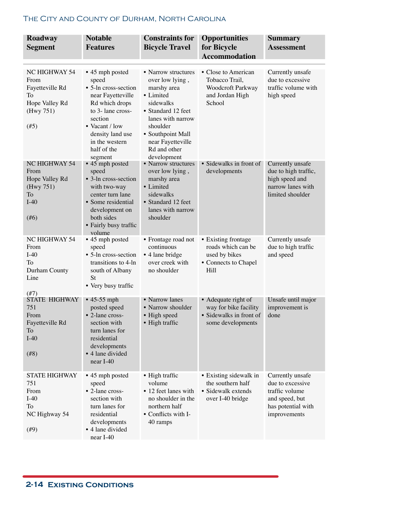| Roadway<br><b>Segment</b>                                                                    | <b>Notable</b><br><b>Features</b>                                                                                                                                                                         | <b>Constraints for</b><br><b>Bicycle Travel</b>                                                                                                                                                                 | <b>Opportunities</b><br>for Bicycle<br><b>Accommodation</b>                                  | <b>Summary</b><br><b>Assessment</b>                                                                            |
|----------------------------------------------------------------------------------------------|-----------------------------------------------------------------------------------------------------------------------------------------------------------------------------------------------------------|-----------------------------------------------------------------------------------------------------------------------------------------------------------------------------------------------------------------|----------------------------------------------------------------------------------------------|----------------------------------------------------------------------------------------------------------------|
| <b>NC HIGHWAY 54</b><br>From<br>Fayetteville Rd<br>To<br>Hope Valley Rd<br>(Hwy 751)<br>(#5) | • 45 mph posted<br>speed<br>• 5-ln cross-section<br>near Fayetteville<br>Rd which drops<br>to 3- lane cross-<br>section<br>• Vacant / low<br>density land use<br>in the western<br>half of the<br>segment | • Narrow structures<br>over low lying,<br>marshy area<br>• Limited<br>sidewalks<br>• Standard 12 feet<br>lanes with narrow<br>shoulder<br>• Southpoint Mall<br>near Fayetteville<br>Rd and other<br>development | • Close to American<br>Tobacco Trail,<br>Woodcroft Parkway<br>and Jordan High<br>School      | Currently unsafe<br>due to excessive<br>traffic volume with<br>high speed                                      |
| <b>NC HIGHWAY 54</b><br>From<br>Hope Valley Rd<br>(Hwy 751)<br>To<br>$I-40$<br>$(\#6)$       | $\bullet$ 45 mph posted<br>speed<br>• 3-ln cross-section<br>with two-way<br>center turn lane<br>• Some residential<br>development on<br>both sides<br>• Fairly busy traffic<br>volume                     | • Narrow structures<br>over low lying,<br>marshy area<br>• Limited<br>sidewalks<br>• Standard 12 feet<br>lanes with narrow<br>shoulder                                                                          | • Sidewalks in front of<br>developments                                                      | Currently unsafe<br>due to high traffic,<br>high speed and<br>narrow lanes with<br>limited shoulder            |
| NC HIGHWAY 54<br>From<br>$I-40$<br>To<br>Durham County<br>Line<br>$(\#7)$                    | • 45 mph posted<br>speed<br>• 5-ln cross-section<br>transitions to 4-ln<br>south of Albany<br>St<br>• Very busy traffic                                                                                   | • Frontage road not<br>continuous<br>• 4 lane bridge<br>over creek with<br>no shoulder                                                                                                                          | • Existing frontage<br>roads which can be<br>used by bikes<br>• Connects to Chapel<br>Hill   | Currently unsafe<br>due to high traffic<br>and speed                                                           |
| <b>STATE HIGHWAY</b><br>751<br>From<br>Fayetteville Rd<br>To<br>$I-40$<br>(#8)               | $\cdot$ 45-55 mph<br>posted speed<br>• 2-lane cross-<br>section with<br>turn lanes for<br>residential<br>developments<br>• 4 lane divided<br>$near I-40$                                                  | • Narrow lanes<br>• Narrow shoulder<br>• High speed<br>• High traffic                                                                                                                                           | • Adequate right of<br>way for bike facility<br>• Sidewalks in front of<br>some developments | Unsafe until major<br>improvement is<br>done                                                                   |
| <b>STATE HIGHWAY</b><br>751<br>From<br>$I-40$<br>To<br>NC Highway 54<br>(#9)                 | • 45 mph posted<br>speed<br>• 2-lane cross-<br>section with<br>turn lanes for<br>residential<br>developments<br>• 4 lane divided<br>near I-40                                                             | • High traffic<br>volume<br>• 12 feet lanes with<br>no shoulder in the<br>northern half<br>• Conflicts with I-<br>40 ramps                                                                                      | • Existing sidewalk in<br>the southern half<br>• Sidewalk extends<br>over I-40 bridge        | Currently unsafe<br>due to excessive<br>traffic volume<br>and speed, but<br>has potential with<br>improvements |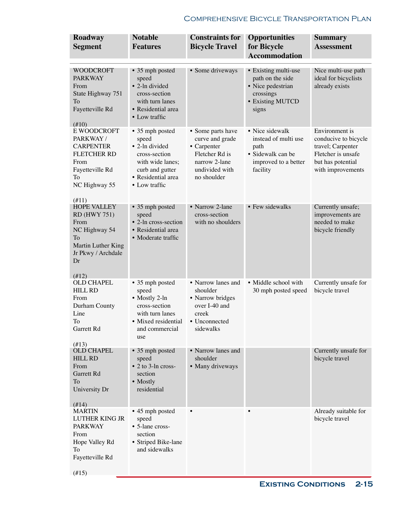| Roadway<br><b>Segment</b>                                                                                                              | <b>Notable</b><br><b>Features</b>                                                                                                         | <b>Constraints for</b><br><b>Bicycle Travel</b>                                                                         | <b>Opportunities</b><br>for Bicycle<br><b>Accommodation</b>                                              | <b>Summary</b><br><b>Assessment</b>                                                                                         |
|----------------------------------------------------------------------------------------------------------------------------------------|-------------------------------------------------------------------------------------------------------------------------------------------|-------------------------------------------------------------------------------------------------------------------------|----------------------------------------------------------------------------------------------------------|-----------------------------------------------------------------------------------------------------------------------------|
|                                                                                                                                        |                                                                                                                                           |                                                                                                                         |                                                                                                          |                                                                                                                             |
| <b>WOODCROFT</b><br><b>PARKWAY</b><br>From<br>State Highway 751<br>To<br>Fayetteville Rd<br>$(\#10)$                                   | • 35 mph posted<br>speed<br>• 2-ln divided<br>cross-section<br>with turn lanes<br>• Residential area<br>• Low traffic                     | • Some driveways                                                                                                        | • Existing multi-use<br>path on the side<br>• Nice pedestrian<br>crossings<br>• Existing MUTCD<br>signs  | Nice multi-use path<br>ideal for bicyclists<br>already exists                                                               |
| E WOODCROFT<br>PARKWAY/<br><b>CARPENTER</b><br><b>FLETCHER RD</b><br>From<br>Fayetteville Rd<br>To<br>NC Highway 55<br>(#11)           | • 35 mph posted<br>speed<br>• 2-ln divided<br>cross-section<br>with wide lanes;<br>curb and gutter<br>• Residential area<br>• Low traffic | • Some parts have<br>curve and grade<br>• Carpenter<br>Fletcher Rd is<br>narrow 2-lane<br>undivided with<br>no shoulder | • Nice sidewalk<br>instead of multi use<br>path<br>• Sidewalk can be<br>improved to a better<br>facility | Environment is<br>conducive to bicycle<br>travel; Carpenter<br>Fletcher is unsafe<br>but has potential<br>with improvements |
| <b>HOPE VALLEY</b><br><b>RD</b> (HWY 751)<br>From<br>NC Highway 54<br>To<br>Martin Luther King<br>Jr Pkwy / Archdale<br>Dr<br>$(\#12)$ | • 35 mph posted<br>speed<br>• 2-ln cross-section<br>• Residential area<br>• Moderate traffic                                              | • Narrow 2-lane<br>cross-section<br>with no shoulders                                                                   | • Few sidewalks                                                                                          | Currently unsafe;<br>improvements are<br>needed to make<br>bicycle friendly                                                 |
| <b>OLD CHAPEL</b><br><b>HILL RD</b><br>From<br>Durham County<br>Line<br>To<br>Garrett Rd<br>(413)                                      | • 35 mph posted<br>speed<br>• Mostly 2-ln<br>cross-section<br>with turn lanes<br>Mixed residential<br>and commercial<br>use               | • Narrow lanes and<br>shoulder<br>• Narrow bridges<br>over I-40 and<br>creek<br>• Unconnected<br>sidewalks              | • Middle school with<br>30 mph posted speed                                                              | Currently unsafe for<br>bicycle travel                                                                                      |
| <b>OLD CHAPEL</b><br><b>HILL RD</b><br>From<br>Garrett Rd<br>To<br>University Dr<br>(#14)                                              | • 35 mph posted<br>speed<br>$\bullet$ 2 to 3-ln cross-<br>section<br>• Mostly<br>residential                                              | • Narrow lanes and<br>shoulder<br>• Many driveways                                                                      |                                                                                                          | Currently unsafe for<br>bicycle travel                                                                                      |
| <b>MARTIN</b><br>LUTHER KING JR<br><b>PARKWAY</b><br>From<br>Hope Valley Rd<br>To<br>Fayetteville Rd                                   | • 45 mph posted<br>speed<br>• 5-lane cross-<br>section<br>• Striped Bike-lane<br>and sidewalks                                            |                                                                                                                         |                                                                                                          | Already suitable for<br>bicycle travel                                                                                      |

(#15)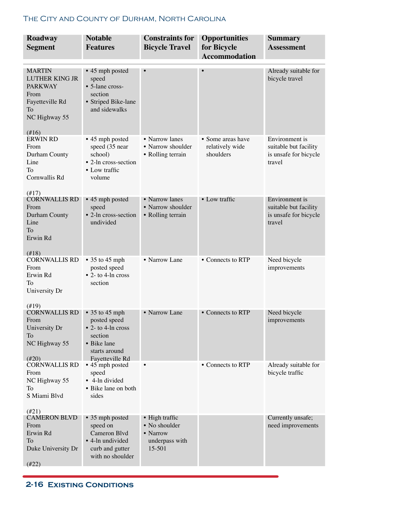| Roadway                                                                                                                | <b>Notable</b>                                                                                           | <b>Constraints for</b>                 | <b>Opportunities</b>                | <b>Summary</b>                                           |
|------------------------------------------------------------------------------------------------------------------------|----------------------------------------------------------------------------------------------------------|----------------------------------------|-------------------------------------|----------------------------------------------------------|
| <b>Segment</b>                                                                                                         | <b>Features</b>                                                                                          | <b>Bicycle Travel</b>                  | for Bicycle<br><b>Accommodation</b> | <b>Assessment</b>                                        |
|                                                                                                                        |                                                                                                          |                                        |                                     |                                                          |
| <b>MARTIN</b><br><b>LUTHER KING JR</b><br><b>PARKWAY</b><br>From<br>Fayetteville Rd<br>To<br>NC Highway 55<br>$(\#16)$ | • 45 mph posted<br>speed<br>• 5-lane cross-<br>section<br>• Striped Bike-lane<br>and sidewalks           |                                        | $\bullet$                           | Already suitable for<br>bicycle travel                   |
| <b>ERWIN RD</b>                                                                                                        | • 45 mph posted                                                                                          | • Narrow lanes                         | • Some areas have                   | Environment is                                           |
| From<br>Durham County<br>Line<br>To<br>Cornwallis Rd<br>$(\#17)$                                                       | speed (35 near<br>school)<br>• 2-ln cross-section<br>• Low traffic<br>volume                             | • Narrow shoulder<br>• Rolling terrain | relatively wide<br>shoulders        | suitable but facility<br>is unsafe for bicycle<br>travel |
| <b>CORNWALLIS RD</b>                                                                                                   | • 45 mph posted                                                                                          | • Narrow lanes                         | • Low traffic                       | Environment is                                           |
| From<br>Durham County<br>Line<br>To<br>Erwin Rd<br>(418)                                                               | speed<br>• 2-ln cross-section<br>undivided                                                               | • Narrow shoulder<br>• Rolling terrain |                                     | suitable but facility<br>is unsafe for bicycle<br>travel |
| <b>CORNWALLIS RD</b>                                                                                                   | $\bullet$ 35 to 45 mph                                                                                   | • Narrow Lane                          | • Connects to RTP                   | Need bicycle                                             |
| From<br>Erwin Rd<br>To<br>University Dr<br>$(\#19)$                                                                    | posted speed<br>$\bullet$ 2- to 4-ln cross<br>section                                                    |                                        |                                     | improvements                                             |
| <b>CORNWALLIS RD</b>                                                                                                   | $\bullet$ 35 to 45 mph                                                                                   | • Narrow Lane                          | • Connects to RTP                   | Need bicycle                                             |
| From<br>University Dr<br>To<br>NC Highway 55<br>$(\#20)$                                                               | posted speed<br>$\bullet$ 2- to 4-ln cross<br>section<br>• Bike lane<br>starts around<br>Fayetteville Rd |                                        |                                     | improvements                                             |
| <b>CORNWALLIS RD</b><br>From<br>NC Highway 55<br>To<br>S Miami Blvd<br>$(\#21)$                                        | • 45 mph posted<br>speed<br>• 4-ln divided<br>• Bike lane on both<br>sides                               |                                        | • Connects to RTP                   | Already suitable for<br>bicycle traffic                  |
| <b>CAMERON BLVD</b><br>From                                                                                            | • 35 mph posted<br>speed on                                                                              | • High traffic<br>• No shoulder        |                                     | Currently unsafe;<br>need improvements                   |
| Erwin Rd                                                                                                               | Cameron Blvd                                                                                             | • Narrow                               |                                     |                                                          |
| To<br>Duke University Dr                                                                                               | • 4-ln undivided<br>curb and gutter<br>with no shoulder                                                  | underpass with<br>15-501               |                                     |                                                          |
| $(\#22)$                                                                                                               |                                                                                                          |                                        |                                     |                                                          |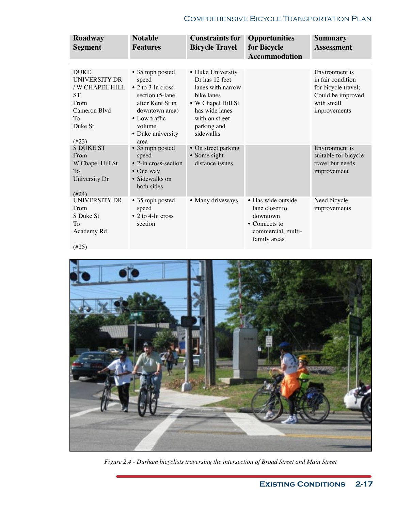| Roadway<br><b>Segment</b>                                                                                                | <b>Notable</b><br><b>Features</b>                                                                                                                               | <b>Constraints for</b><br><b>Bicycle Travel</b>                                                                                                              | <b>Opportunities</b><br>for Bicycle<br><b>Accommodation</b>                                             | <b>Summary</b><br><b>Assessment</b>                                                                           |
|--------------------------------------------------------------------------------------------------------------------------|-----------------------------------------------------------------------------------------------------------------------------------------------------------------|--------------------------------------------------------------------------------------------------------------------------------------------------------------|---------------------------------------------------------------------------------------------------------|---------------------------------------------------------------------------------------------------------------|
|                                                                                                                          |                                                                                                                                                                 |                                                                                                                                                              |                                                                                                         |                                                                                                               |
| <b>DUKE</b><br><b>UNIVERSITY DR</b><br>/ W CHAPEL HILL<br><b>ST</b><br>From<br>Cameron Blvd<br>To<br>Duke St<br>$(\#23)$ | • 35 mph posted<br>speed<br>$\bullet$ 2 to 3-ln cross-<br>section (5-lane<br>after Kent St in<br>downtown area)<br>• Low traffic<br>volume<br>• Duke university | • Duke University<br>Dr has 12 feet<br>lanes with narrow<br>bike lanes<br>• W Chapel Hill St<br>has wide lanes<br>with on street<br>parking and<br>sidewalks |                                                                                                         | Environment is<br>in fair condition<br>for bicycle travel;<br>Could be improved<br>with small<br>improvements |
| <b>S DUKE ST</b>                                                                                                         | area<br>• 35 mph posted                                                                                                                                         | • On street parking                                                                                                                                          |                                                                                                         | Environment is                                                                                                |
| From<br>W Chapel Hill St<br>To<br>University Dr<br>$(\#24)$                                                              | speed<br>• $2$ -ln cross-section<br>$\bullet$ One way<br>• Sidewalks on<br>both sides                                                                           | • Some sight<br>distance issues                                                                                                                              |                                                                                                         | suitable for bicycle<br>travel but needs<br>improvement                                                       |
| UNIVERSITY DR<br>From<br>S Duke St<br>To<br>Academy Rd<br>$(\#25)$                                                       | • 35 mph posted<br>speed<br>$\bullet$ 2 to 4-ln cross<br>section                                                                                                | • Many driveways                                                                                                                                             | • Has wide outside<br>lane closer to<br>downtown<br>• Connects to<br>commercial, multi-<br>family areas | Need bicycle<br>improvements                                                                                  |



*Figure 2.4 - Durham bicyclists traversing the intersection of Broad Street and Main Street*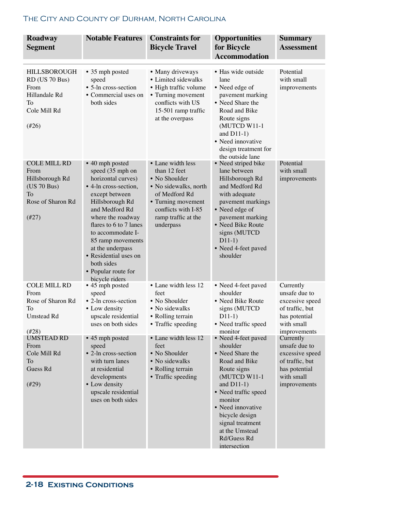| Roadway<br><b>Segment</b>                                                                            | <b>Notable Features</b>                                                                                                                                                                                                                                                                                                                | <b>Constraints for</b><br><b>Bicycle Travel</b>                                                                                                                               | <b>Opportunities</b><br>for Bicycle<br><b>Accommodation</b>                                                                                                                                                                                                                   | <b>Summary</b><br><b>Assessment</b>                                                                                             |
|------------------------------------------------------------------------------------------------------|----------------------------------------------------------------------------------------------------------------------------------------------------------------------------------------------------------------------------------------------------------------------------------------------------------------------------------------|-------------------------------------------------------------------------------------------------------------------------------------------------------------------------------|-------------------------------------------------------------------------------------------------------------------------------------------------------------------------------------------------------------------------------------------------------------------------------|---------------------------------------------------------------------------------------------------------------------------------|
| <b>HILLSBOROUGH</b><br>RD (US 70 Bus)<br>From<br>Hillandale Rd<br>To<br>Cole Mill Rd<br>$(\#26)$     | • 35 mph posted<br>speed<br>• 5-ln cross-section<br>• Commercial uses on<br>both sides                                                                                                                                                                                                                                                 | • Many driveways<br>• Limited sidewalks<br>• High traffic volume<br>• Turning movement<br>conflicts with US<br>15-501 ramp traffic<br>at the overpass                         | · Has wide outside<br>lane<br>• Need edge of<br>pavement marking<br>• Need Share the<br>Road and Bike<br>Route signs<br>(MUTCD W11-1<br>and $D11-1)$<br>• Need innovative<br>design treatment for<br>the outside lane                                                         | Potential<br>with small<br>improvements                                                                                         |
| <b>COLE MILL RD</b><br>From<br>Hillsborough Rd<br>(US 70 Bus)<br>To<br>Rose of Sharon Rd<br>$(\#27)$ | • 40 mph posted<br>speed (35 mph on<br>horizontal curves)<br>• 4-ln cross-section,<br>except between<br>Hillsborough Rd<br>and Medford Rd<br>where the roadway<br>flares to 6 to 7 lanes<br>to accommodate I-<br>85 ramp movements<br>at the underpass<br>• Residential uses on<br>both sides<br>• Popular route for<br>bicycle riders | • Lane width less<br>than 12 feet<br>• No Shoulder<br>• No sidewalks, north<br>of Medford Rd<br>• Turning movement<br>conflicts with I-85<br>ramp traffic at the<br>underpass | • Need striped bike<br>lane between<br>Hillsborough Rd<br>and Medford Rd<br>with adequate<br>pavement markings<br>• Need edge of<br>pavement marking<br>• Need Bike Route<br>signs (MUTCD<br>$D11-1)$<br>• Need 4-feet paved<br>shoulder                                      | Potential<br>with small<br>improvements                                                                                         |
| <b>COLE MILL RD</b><br>From<br>Rose of Sharon Rd<br>To<br>Umstead Rd                                 | • 45 mph posted<br>speed<br>• 2-ln cross-section<br>• Low density<br>upscale residential<br>uses on both sides                                                                                                                                                                                                                         | • Lane width less 12<br>feet<br>• No Shoulder<br>• No sidewalks<br>• Rolling terrain<br>• Traffic speeding                                                                    | • Need 4-feet paved<br>shoulder<br>• Need Bike Route<br>signs (MUTCD<br>$D11-1)$<br>• Need traffic speed                                                                                                                                                                      | Currently<br>unsafe due to<br>excessive speed<br>of traffic, but<br>has potential<br>with small                                 |
| $(\#28)$<br><b>UMSTEAD RD</b><br>From<br>Cole Mill Rd<br>To<br>Guess Rd<br>$(\#29)$                  | • 45 mph posted<br>speed<br>• 2-ln cross-section<br>with turn lanes<br>at residential<br>developments<br>• Low density<br>upscale residential<br>uses on both sides                                                                                                                                                                    | • Lane width less 12<br>feet<br>• No Shoulder<br>• No sidewalks<br>• Rolling terrain<br>• Traffic speeding                                                                    | monitor<br>• Need 4-feet paved<br>shoulder<br>• Need Share the<br>Road and Bike<br>Route signs<br>(MUTCD W11-1<br>and $D11-1)$<br>• Need traffic speed<br>monitor<br>• Need innovative<br>bicycle design<br>signal treatment<br>at the Umstead<br>Rd/Guess Rd<br>intersection | improvements<br>Currently<br>unsafe due to<br>excessive speed<br>of traffic, but<br>has potential<br>with small<br>improvements |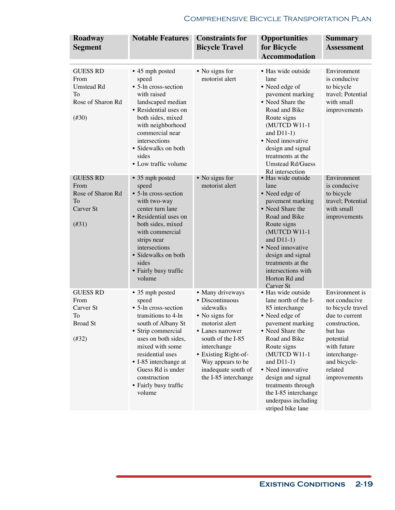| Roadway<br><b>Segment</b>                                                                     | <b>Notable Features</b>                                                                                                                                                                                                                                                            | <b>Constraints for</b><br><b>Bicycle Travel</b>                                                                                                                                                                                          | <b>Opportunities</b><br>for Bicycle<br><b>Accommodation</b>                                                                                                                                                                                                                                                                 | <b>Summary</b><br><b>Assessment</b>                                                                                                                                                       |
|-----------------------------------------------------------------------------------------------|------------------------------------------------------------------------------------------------------------------------------------------------------------------------------------------------------------------------------------------------------------------------------------|------------------------------------------------------------------------------------------------------------------------------------------------------------------------------------------------------------------------------------------|-----------------------------------------------------------------------------------------------------------------------------------------------------------------------------------------------------------------------------------------------------------------------------------------------------------------------------|-------------------------------------------------------------------------------------------------------------------------------------------------------------------------------------------|
| <b>GUESS RD</b><br>From<br><b>Umstead Rd</b><br>To<br>Rose of Sharon Rd<br>$(\#30)$           | • 45 mph posted<br>speed<br>• 5-ln cross-section<br>with raised<br>landscaped median<br>• Residential uses on<br>both sides, mixed<br>with neighborhood<br>commercial near<br>intersections<br>• Sidewalks on both<br>sides<br>• Low traffic volume                                | • No signs for<br>motorist alert                                                                                                                                                                                                         | • Has wide outside<br>lane<br>• Need edge of<br>pavement marking<br>• Need Share the<br>Road and Bike<br>Route signs<br>(MUTCD W11-1<br>and $D11-1$ )<br>• Need innovative<br>design and signal<br>treatments at the<br><b>Umstead Rd/Guess</b><br>Rd intersection                                                          | Environment<br>is conducive<br>to bicycle<br>travel; Potential<br>with small<br>improvements                                                                                              |
| <b>GUESS RD</b><br>From<br>Rose of Sharon Rd<br><b>To</b><br>Carver <sub>St</sub><br>$(\#31)$ | • 35 mph posted<br>speed<br>• 5-ln cross-section<br>with two-way<br>center turn lane<br>• Residential uses on<br>both sides, mixed<br>with commercial<br>strips near<br>intersections<br>• Sidewalks on both<br>sides<br>• Fairly busy traffic<br>volume                           | • No signs for<br>motorist alert                                                                                                                                                                                                         | · Has wide outside<br>lane<br>• Need edge of<br>pavement marking<br>• Need Share the<br>Road and Bike<br>Route signs<br>(MUTCD W11-1<br>and $D11-1$ )<br>• Need innovative<br>design and signal<br>treatments at the<br>intersections with<br>Horton Rd and<br>Carver St                                                    | Environment<br>is conducive<br>to bicycle<br>travel; Potential<br>with small<br>improvements                                                                                              |
| <b>GUESS RD</b><br>From<br>Carver St<br>To<br><b>Broad St</b><br>$(\#32)$                     | • 35 mph posted<br>speed<br>• 5-ln cross-section<br>transitions to 4-ln<br>south of Albany St<br>• Strip commercial<br>uses on both sides,<br>mixed with some<br>residential uses<br>• I-85 interchange at<br>Guess Rd is under<br>construction<br>• Fairly busy traffic<br>volume | • Many driveways<br>• Discontinuous<br>sidewalks<br>• No signs for<br>motorist alert<br>• Lanes narrower<br>south of the I-85<br>interchange<br>• Existing Right-of-<br>Way appears to be<br>inadequate south of<br>the I-85 interchange | · Has wide outside<br>lane north of the I-<br>85 interchange<br>• Need edge of<br>pavement marking<br>• Need Share the<br>Road and Bike<br>Route signs<br>(MUTCD W11-1<br>and $D11-1$ )<br>• Need innovative<br>design and signal<br>treatments through<br>the I-85 interchange<br>underpass including<br>striped bike lane | Environment is<br>not conducive<br>to bicycle travel<br>due to current<br>construction,<br>but has<br>potential<br>with future<br>interchange-<br>and bicycle-<br>related<br>improvements |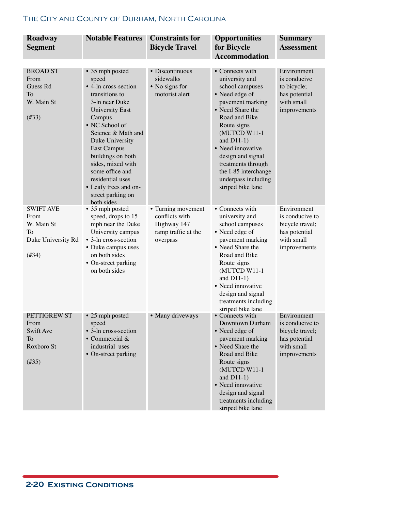| Roadway<br><b>Segment</b>                                                      | <b>Notable Features</b>                                                                                                                                                                                                                                                                                                                                | <b>Constraints for</b><br><b>Bicycle Travel</b>                                        | <b>Opportunities</b><br>for Bicycle<br><b>Accommodation</b>                                                                                                                                                                                                                                                         | <b>Summary</b><br><b>Assessment</b>                                                              |
|--------------------------------------------------------------------------------|--------------------------------------------------------------------------------------------------------------------------------------------------------------------------------------------------------------------------------------------------------------------------------------------------------------------------------------------------------|----------------------------------------------------------------------------------------|---------------------------------------------------------------------------------------------------------------------------------------------------------------------------------------------------------------------------------------------------------------------------------------------------------------------|--------------------------------------------------------------------------------------------------|
| <b>BROAD ST</b><br>From<br>Guess Rd<br>To<br>W. Main St<br>(#33)               | • 35 mph posted<br>speed<br>• 4-ln cross-section<br>transitions to<br>3-ln near Duke<br><b>University East</b><br>Campus<br>• NC School of<br>Science & Math and<br>Duke University<br><b>East Campus</b><br>buildings on both<br>sides, mixed with<br>some office and<br>residential uses<br>• Leafy trees and on-<br>street parking on<br>both sides | • Discontinuous<br>sidewalks<br>• No signs for<br>motorist alert                       | • Connects with<br>university and<br>school campuses<br>• Need edge of<br>pavement marking<br>• Need Share the<br>Road and Bike<br>Route signs<br>(MUTCD W11-1<br>and $D11-1$ )<br>• Need innovative<br>design and signal<br>treatments through<br>the I-85 interchange<br>underpass including<br>striped bike lane | Environment<br>is conducive<br>to bicycle;<br>has potential<br>with small<br>improvements        |
| <b>SWIFT AVE</b><br>From<br>W. Main St<br>To<br>Duke University Rd<br>$(\#34)$ | • 35 mph posted<br>speed, drops to 15<br>mph near the Duke<br>University campus<br>• 3-ln cross-section<br>• Duke campus uses<br>on both sides<br>• On-street parking<br>on both sides                                                                                                                                                                 | • Turning movement<br>conflicts with<br>Highway 147<br>ramp traffic at the<br>overpass | • Connects with<br>university and<br>school campuses<br>• Need edge of<br>pavement marking<br>• Need Share the<br>Road and Bike<br>Route signs<br>(MUTCD W11-1<br>and $D11-1$ )<br>• Need innovative<br>design and signal<br>treatments including<br>striped bike lane                                              | Environment<br>is conducive to<br>bicycle travel;<br>has potential<br>with small<br>improvements |
| PETTIGREW ST<br>From<br>Swift Ave<br>To<br>Roxboro St<br>$(\#35)$              | • 25 mph posted<br>speed<br>• 3-ln cross-section<br>$\bullet$ Commercial &<br>industrial uses<br>• On-street parking                                                                                                                                                                                                                                   | • Many driveways                                                                       | • Connects with<br>Downtown Durham<br>• Need edge of<br>pavement marking<br>• Need Share the<br>Road and Bike<br>Route signs<br>(MUTCD W11-1<br>and $D11-1$ )<br>• Need innovative<br>design and signal<br>treatments including<br>striped bike lane                                                                | Environment<br>is conducive to<br>bicycle travel;<br>has potential<br>with small<br>improvements |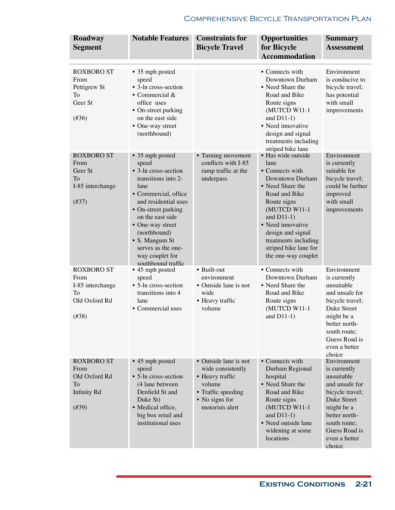| Roadway<br><b>Segment</b>                                                       | <b>Notable Features</b>                                                                                                                                                                                                                                                                         | <b>Constraints for</b><br><b>Bicycle Travel</b>                                                                                    | <b>Opportunities</b><br>for Bicycle<br><b>Accommodation</b>                                                                                                                                                                                                             | Summary<br><b>Assessment</b>                                                                                                                                                                    |
|---------------------------------------------------------------------------------|-------------------------------------------------------------------------------------------------------------------------------------------------------------------------------------------------------------------------------------------------------------------------------------------------|------------------------------------------------------------------------------------------------------------------------------------|-------------------------------------------------------------------------------------------------------------------------------------------------------------------------------------------------------------------------------------------------------------------------|-------------------------------------------------------------------------------------------------------------------------------------------------------------------------------------------------|
| <b>ROXBORO ST</b><br>From<br>Pettigrew St<br>To<br>Geer St<br>$(\#36)$          | • 35 mph posted<br>speed<br>• 3-ln cross-section<br>• Commercial $&$<br>office uses<br>• On-street parking<br>on the east side<br>• One-way street<br>(northbound)                                                                                                                              |                                                                                                                                    | • Connects with<br>Downtown Durham<br>• Need Share the<br>Road and Bike<br>Route signs<br>(MUTCD W11-1<br>and $D11-1$ )<br>• Need innovative<br>design and signal<br>treatments including<br>striped bike lane                                                          | Environment<br>is conducive to<br>bicycle travel;<br>has potential<br>with small<br>improvements                                                                                                |
| <b>ROXBORO ST</b><br>From<br>Geer St<br>To<br>I-85 interchange<br>$(\#37)$      | • 35 mph posted<br>speed<br>• 3-ln cross-section<br>transitions into 2-<br>lane<br>• Commercial, office<br>and residential uses<br>• On-street parking<br>on the east side<br>• One-way street<br>(northbound)<br>• S. Mangum St<br>serves as the one-<br>way couplet for<br>southbound traffic | • Turning movement<br>conflicts with I-85<br>ramp traffic at the<br>underpass                                                      | • Has wide outside<br>lane<br>• Connects with<br>Downtown Durham<br>• Need Share the<br>Road and Bike<br>Route signs<br>(MUTCD W11-1<br>and $D11-1$ )<br>• Need innovative<br>design and signal<br>treatments including<br>striped bike lane for<br>the one-way couplet | Environment<br>is currently<br>suitable for<br>bicycle travel;<br>could be further<br>improved<br>with small<br>improvements                                                                    |
| <b>ROXBORO ST</b><br>From<br>I-85 interchange<br>To<br>Old Oxford Rd<br>(#38)   | • 45 mph posted<br>speed<br>• 5-ln cross-section<br>transitions into 4<br>lane<br>• Commercial uses                                                                                                                                                                                             | • Built-out<br>environment<br>• Outside lane is not<br>wide<br>• Heavy traffic<br>volume                                           | • Connects with<br>Downtown Durham<br>• Need Share the<br>Road and Bike<br>Route signs<br>(MUTCD W11-1<br>and $D11-1)$                                                                                                                                                  | Environment<br>is currently<br>unsuitable<br>and unsafe for<br>bicycle travel;<br><b>Duke Street</b><br>might be a<br>better north-<br>south route;<br>Guess Road is<br>even a better<br>choice |
| <b>ROXBORO ST</b><br>From<br>Old Oxford Rd<br>To<br><b>Infinity Rd</b><br>(#39) | • 45 mph posted<br>speed<br>• 5-ln cross-section<br>(4 lane between<br>Denfield St and<br>Duke St)<br>• Medical office,<br>big box retail and<br>institutional uses                                                                                                                             | • Outside lane is not<br>wide consistently<br>• Heavy traffic<br>volume<br>• Traffic speeding<br>• No signs for<br>motorists alert | • Connects with<br>Durham Regional<br>hospital<br>• Need Share the<br>Road and Bike<br>Route signs<br>(MUTCD W11-1<br>and $D11-1$ )<br>• Need outside lane<br>widening at some<br>locations                                                                             | Environment<br>is currently<br>unsuitable<br>and unsafe for<br>bicycle travel;<br>Duke Street<br>might be a<br>better north-<br>south route;<br>Guess Road is<br>even a better<br>choice        |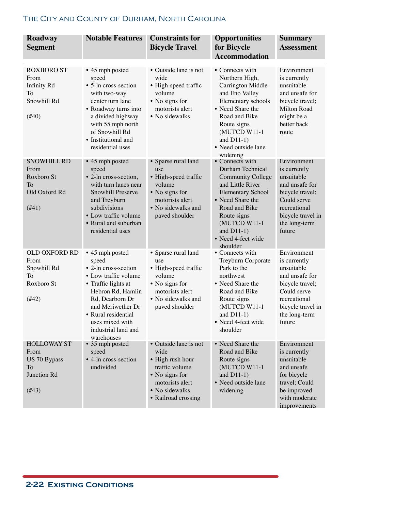| Roadway<br><b>Segment</b>                                                 | <b>Notable Features</b>                                                                                                                                                                                                                     | <b>Constraints for</b><br><b>Bicycle Travel</b>                                                                                                   | <b>Opportunities</b><br>for Bicycle<br><b>Accommodation</b>                                                                                                                                                                            | <b>Summary</b><br><b>Assessment</b>                                                                                                                           |
|---------------------------------------------------------------------------|---------------------------------------------------------------------------------------------------------------------------------------------------------------------------------------------------------------------------------------------|---------------------------------------------------------------------------------------------------------------------------------------------------|----------------------------------------------------------------------------------------------------------------------------------------------------------------------------------------------------------------------------------------|---------------------------------------------------------------------------------------------------------------------------------------------------------------|
| <b>ROXBORO ST</b><br>From<br>Infinity Rd<br>To<br>Snowhill Rd<br>$(\#40)$ | • 45 mph posted<br>speed<br>• 5-ln cross-section<br>with two-way<br>center turn lane<br>• Roadway turns into<br>a divided highway<br>with 55 mph north<br>of Snowhill Rd<br>• Institutional and<br>residential uses                         | • Outside lane is not<br>wide<br>• High-speed traffic<br>volume<br>• No signs for<br>motorists alert<br>• No sidewalks                            | • Connects with<br>Northern High,<br>Carrington Middle<br>and Eno Valley<br>Elementary schools<br>• Need Share the<br>Road and Bike<br>Route signs<br>(MUTCD W11-1<br>and $D11-1$ )<br>• Need outside lane<br>widening                 | Environment<br>is currently<br>unsuitable<br>and unsafe for<br>bicycle travel;<br>Milton Road<br>might be a<br>better back<br>route                           |
| <b>SNOWHILL RD</b><br>From<br>Roxboro St<br>To<br>Old Oxford Rd<br>(#41)  | • 45 mph posted<br>speed<br>• 2-ln cross-section,<br>with turn lanes near<br>Snowhill Preserve<br>and Treyburn<br>subdivisions<br>• Low traffic volume<br>• Rural and suburban<br>residential uses                                          | • Sparse rural land<br>use<br>• High-speed traffic<br>volume<br>• No signs for<br>motorists alert<br>• No sidewalks and<br>paved shoulder         | • Connects with<br>Durham Technical<br><b>Community College</b><br>and Little River<br><b>Elementary School</b><br>• Need Share the<br>Road and Bike<br>Route signs<br>(MUTCD W11-1<br>and $D11-1$ )<br>• Need 4-feet wide<br>shoulder | Environment<br>is currently<br>unsuitable<br>and unsafe for<br>bicycle travel;<br>Could serve<br>recreational<br>bicycle travel in<br>the long-term<br>future |
| <b>OLD OXFORD RD</b><br>From<br>Snowhill Rd<br>To<br>Roxboro St<br>(#42)  | • 45 mph posted<br>speed<br>• 2-ln cross-section<br>• Low traffic volume<br>• Traffic lights at<br>Hebron Rd, Hamlin<br>Rd, Dearborn Dr<br>and Meriwether Dr<br>• Rural residential<br>uses mixed with<br>industrial land and<br>warehouses | • Sparse rural land<br>use<br>• High-speed traffic<br>volume<br>• No signs for<br>motorists alert<br>• No sidewalks and<br>paved shoulder         | • Connects with<br>Treyburn Corporate<br>Park to the<br>northwest<br>• Need Share the<br>Road and Bike<br>Route signs<br>(MUTCD W11-1<br>and $D11-1$ )<br>· Need 4-feet wide<br>shoulder                                               | Environment<br>is currently<br>unsuitable<br>and unsafe for<br>bicycle travel;<br>Could serve<br>recreational<br>bicycle travel in<br>the long-term<br>future |
| <b>HOLLOWAY ST</b><br>From<br>US 70 Bypass<br>To<br>Junction Rd<br>(#43)  | • 35 mph posted<br>speed<br>• 4-ln cross-section<br>undivided                                                                                                                                                                               | • Outside lane is not<br>wide<br>• High rush hour<br>traffic volume<br>• No signs for<br>motorists alert<br>• No sidewalks<br>• Railroad crossing | • Need Share the<br>Road and Bike<br>Route signs<br>(MUTCD W11-1<br>and $D11-1)$<br>• Need outside lane<br>widening                                                                                                                    | Environment<br>is currently<br>unsuitable<br>and unsafe<br>for bicycle<br>travel; Could<br>be improved<br>with moderate<br>improvements                       |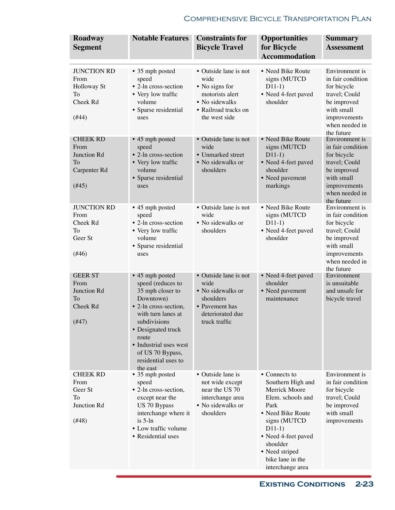| Roadway<br><b>Segment</b>                                                          | <b>Notable Features</b>                                                                                                                                                                                                                              | <b>Constraints for</b><br><b>Bicycle Travel</b>                                                                               | <b>Opportunities</b><br>for Bicycle<br><b>Accommodation</b>                                                                                                                                                                    | <b>Summary</b><br><b>Assessment</b>                                                                                                              |
|------------------------------------------------------------------------------------|------------------------------------------------------------------------------------------------------------------------------------------------------------------------------------------------------------------------------------------------------|-------------------------------------------------------------------------------------------------------------------------------|--------------------------------------------------------------------------------------------------------------------------------------------------------------------------------------------------------------------------------|--------------------------------------------------------------------------------------------------------------------------------------------------|
| <b>JUNCTION RD</b><br>From<br><b>Holloway St</b><br><b>To</b><br>Cheek Rd<br>(#44) | • 35 mph posted<br>speed<br>• 2-ln cross-section<br>• Very low traffic<br>volume<br>• Sparse residential<br>uses                                                                                                                                     | • Outside lane is not<br>wide<br>• No signs for<br>motorists alert<br>• No sidewalks<br>• Railroad tracks on<br>the west side | • Need Bike Route<br>signs (MUTCD<br>$D11-1)$<br>• Need 4-feet paved<br>shoulder                                                                                                                                               | Environment is<br>in fair condition<br>for bicycle<br>travel; Could<br>be improved<br>with small<br>improvements<br>when needed in<br>the future |
| <b>CHEEK RD</b><br>From<br>Junction Rd<br>To<br>Carpenter Rd<br>(#45)              | • 45 mph posted<br>speed<br>• 2-ln cross-section<br>• Very low traffic<br>volume<br>• Sparse residential<br>uses                                                                                                                                     | • Outside lane is not<br>wide<br>• Unmarked street<br>• No sidewalks or<br>shoulders                                          | • Need Bike Route<br>signs (MUTCD<br>$D11-1)$<br>• Need 4-feet paved<br>shoulder<br>• Need pavement<br>markings                                                                                                                | Environment is<br>in fair condition<br>for bicycle<br>travel; Could<br>be improved<br>with small<br>improvements<br>when needed in<br>the future |
| <b>JUNCTION RD</b><br>From<br>Cheek Rd<br><b>To</b><br>Geer St<br>(#46)            | • 45 mph posted<br>speed<br>• 2-ln cross-section<br>• Very low traffic<br>volume<br>· Sparse residential<br>uses                                                                                                                                     | • Outside lane is not<br>wide<br>• No sidewalks or<br>shoulders                                                               | • Need Bike Route<br>signs (MUTCD<br>$D11-1)$<br>• Need 4-feet paved<br>shoulder                                                                                                                                               | Environment is<br>in fair condition<br>for bicycle<br>travel; Could<br>be improved<br>with small<br>improvements<br>when needed in<br>the future |
| <b>GEER ST</b><br>From<br>Junction Rd<br><b>To</b><br>Cheek Rd<br>$(\#47)$         | • 45 mph posted<br>speed (reduces to<br>35 mph closer to<br>Downtown)<br>• 2-ln cross-section,<br>with turn lanes at<br>subdivisions<br>• Designated truck<br>route<br>• Industrial uses west<br>of US 70 Bypass,<br>residential uses to<br>the east | • Outside lane is not<br>wide<br>• No sidewalks or<br>shoulders<br>• Pavement has<br>deteriorated due<br>truck traffic        | • Need 4-feet paved<br>shoulder<br>• Need pavement<br>maintenance                                                                                                                                                              | Environment<br>is unsuitable<br>and unsafe for<br>bicycle travel                                                                                 |
| <b>CHEEK RD</b><br>From<br>Geer St<br>To<br>Junction Rd<br>(#48)                   | • 35 mph posted<br>speed<br>• 2-ln cross-section,<br>except near the<br>US 70 Bypass<br>interchange where it<br>$is 5-In$<br>• Low traffic volume<br>• Residential uses                                                                              | • Outside lane is<br>not wide except<br>near the US 70<br>interchange area<br>• No sidewalks or<br>shoulders                  | • Connects to<br>Southern High and<br>Merrick Moore<br>Elem. schools and<br>Park<br>• Need Bike Route<br>signs (MUTCD<br>$D11-1)$<br>• Need 4-feet paved<br>shoulder<br>• Need striped<br>bike lane in the<br>interchange area | Environment is<br>in fair condition<br>for bicycle<br>travel; Could<br>be improved<br>with small<br>improvements                                 |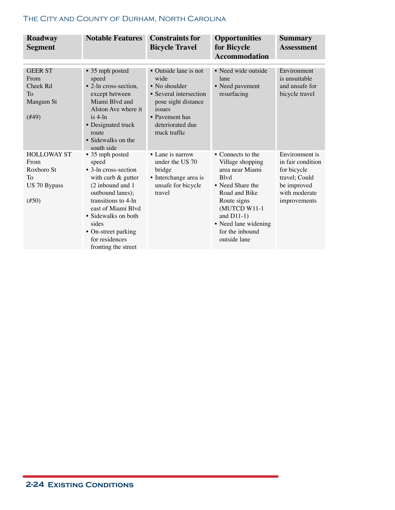| Roadway<br><b>Segment</b>                                                  | <b>Notable Features</b>                                                                                                                                                                                                                                       | <b>Constraints for</b><br><b>Bicycle Travel</b>                                                                                                                  | <b>Opportunities</b><br>for Bicycle<br><b>Accommodation</b>                                                                                                                                                              | <b>Summary</b><br><b>Assessment</b>                                                                                 |
|----------------------------------------------------------------------------|---------------------------------------------------------------------------------------------------------------------------------------------------------------------------------------------------------------------------------------------------------------|------------------------------------------------------------------------------------------------------------------------------------------------------------------|--------------------------------------------------------------------------------------------------------------------------------------------------------------------------------------------------------------------------|---------------------------------------------------------------------------------------------------------------------|
| <b>GEER ST</b><br>From<br>Cheek Rd<br><b>To</b><br>Mangum St<br>(#49)      | • 35 mph posted<br>speed<br>• 2-ln cross-section,<br>except between<br>Miami Blyd and<br>Alston Ave where it<br>$is$ 4-ln<br>• Designated truck<br>route<br>• Sidewalks on the<br>south side                                                                  | • Outside lane is not<br>wide<br>• No shoulder<br>• Several intersection<br>pose sight distance<br>issues<br>• Pavement has<br>deteriorated due<br>truck traffic | • Need wide outside<br>lane<br>• Need pavement<br>resurfacing                                                                                                                                                            | Environment<br>is unsuitable<br>and unsafe for<br>bicycle travel                                                    |
| <b>HOLLOWAY ST</b><br>From<br>Roxboro St<br>To<br>US 70 Bypass<br>$(\#50)$ | • 35 mph posted<br>speed<br>• 3-ln cross-section<br>with curb $&$ gutter<br>(2 inbound and 1<br>outbound lanes);<br>transitions to 4-ln<br>east of Miami Blvd<br>• Sidewalks on both<br>sides<br>• On-street parking<br>for residences<br>fronting the street | • Lane is narrow<br>under the US 70<br>bridge<br>• Interchange area is<br>unsafe for bicycle<br>travel                                                           | • Connects to the<br>Village shopping<br>area near Miami<br><b>B</b> lvd<br>• Need Share the<br>Road and Bike<br>Route signs<br>(MUTCD W11-1<br>and $D11-1$ )<br>• Need lane widening<br>for the inbound<br>outside lane | Environment is<br>in fair condition<br>for bicycle<br>travel; Could<br>be improved<br>with moderate<br>improvements |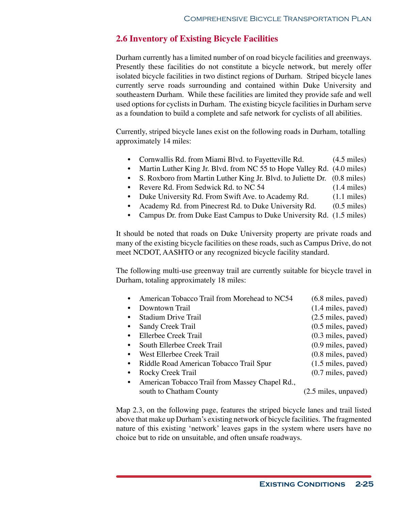# **2.6 Inventory of Existing Bicycle Facilities**

Durham currently has a limited number of on road bicycle facilities and greenways. Presently these facilities do not constitute a bicycle network, but merely offer isolated bicycle facilities in two distinct regions of Durham. Striped bicycle lanes currently serve roads surrounding and contained within Duke University and southeastern Durham. While these facilities are limited they provide safe and well used options for cyclists in Durham. The existing bicycle facilities in Durham serve as a foundation to build a complete and safe network for cyclists of all abilities.

Currently, striped bicycle lanes exist on the following roads in Durham, totalling approximately 14 miles:

- Cornwallis Rd. from Miami Blvd. to Fayetteville Rd. (4.5 miles)
- Martin Luther King Jr. Blvd. from NC 55 to Hope Valley Rd. (4.0 miles)
- S. Roxboro from Martin Luther King Jr. Blvd. to Juliette Dr. (0.8 miles)
- Revere Rd. From Sedwick Rd. to NC 54 (1.4 miles)
- Duke University Rd. From Swift Ave. to Academy Rd. (1.1 miles)
- Academy Rd. from Pinecrest Rd. to Duke University Rd. (0.5 miles)
- Campus Dr. from Duke East Campus to Duke University Rd. (1.5 miles)

It should be noted that roads on Duke University property are private roads and many of the existing bicycle facilities on these roads, such as Campus Drive, do not meet NCDOT, AASHTO or any recognized bicycle facility standard.

The following multi-use greenway trail are currently suitable for bicycle travel in Durham, totaling approximately 18 miles:

• American Tobacco Trail from Morehead to NC54 (6.8 miles, paved) Downtown Trail (1.4 miles, paved) • Stadium Drive Trail (2.5 miles, paved) • Sandy Creek Trail (0.5 miles, paved) • Ellerbee Creek Trail (0.3 miles, paved) • South Ellerbee Creek Trail (0.9 miles, paved) • West Ellerbee Creek Trail (0.8 miles, paved) • Riddle Road American Tobacco Trail Spur (1.5 miles, paved) • Rocky Creek Trail (0.7 miles, paved) • American Tobacco Trail from Massey Chapel Rd., south to Chatham County (2.5 miles, unpaved)

Map 2.3, on the following page, features the striped bicycle lanes and trail listed above that make up Durham's existing network of bicycle facilities. The fragmented nature of this existing 'network' leaves gaps in the system where users have no choice but to ride on unsuitable, and often unsafe roadways.